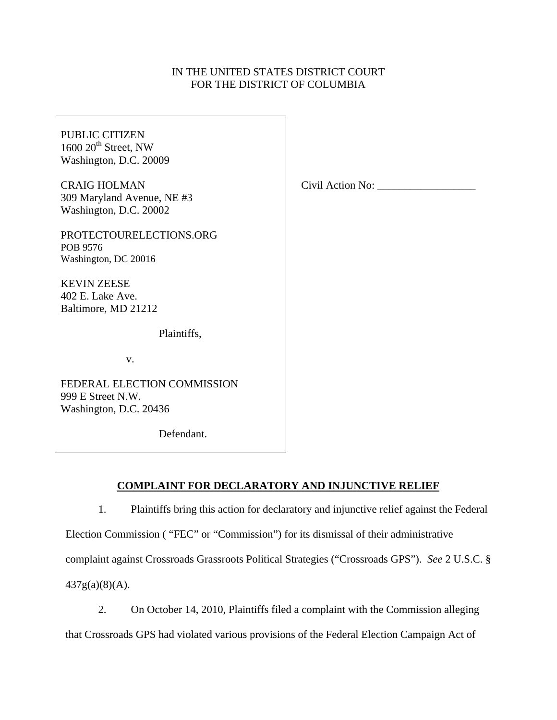# IN THE UNITED STATES DISTRICT COURT FOR THE DISTRICT OF COLUMBIA

PUBLIC CITIZEN  $1600 20$ <sup>th</sup> Street, NW Washington, D.C. 20009 CRAIG HOLMAN 309 Maryland Avenue, NE #3 Washington, D.C. 20002 PROTECTOURELECTIONS.ORG POB 9576 Washington, DC 20016 KEVIN ZEESE 402 E. Lake Ave. Baltimore, MD 21212 Plaintiffs, v. FEDERAL ELECTION COMMISSION 999 E Street N.W. Washington, D.C. 20436 Civil Action No:

Defendant.

# **COMPLAINT FOR DECLARATORY AND INJUNCTIVE RELIEF**

1. Plaintiffs bring this action for declaratory and injunctive relief against the Federal Election Commission ( "FEC" or "Commission") for its dismissal of their administrative complaint against Crossroads Grassroots Political Strategies ("Crossroads GPS"). *See* 2 U.S.C. § 437g(a)(8)(A).

2. On October 14, 2010, Plaintiffs filed a complaint with the Commission alleging that Crossroads GPS had violated various provisions of the Federal Election Campaign Act of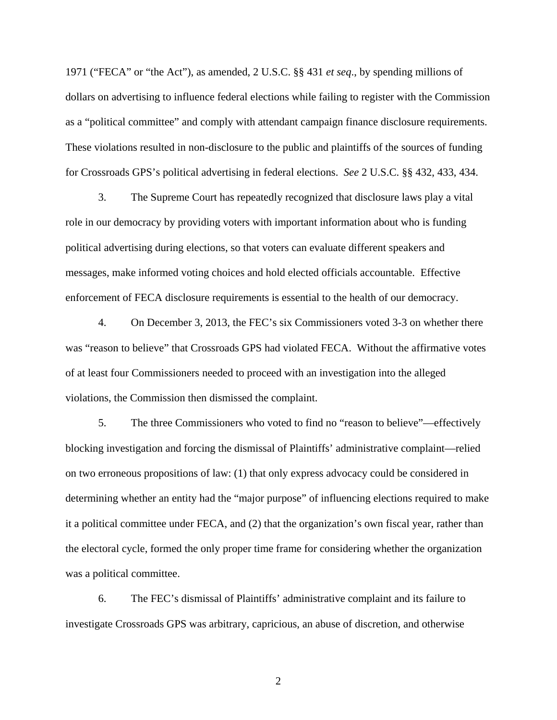1971 ("FECA" or "the Act"), as amended, 2 U.S.C. §§ 431 *et seq*., by spending millions of dollars on advertising to influence federal elections while failing to register with the Commission as a "political committee" and comply with attendant campaign finance disclosure requirements. These violations resulted in non-disclosure to the public and plaintiffs of the sources of funding for Crossroads GPS's political advertising in federal elections. *See* 2 U.S.C. §§ 432, 433, 434.

3. The Supreme Court has repeatedly recognized that disclosure laws play a vital role in our democracy by providing voters with important information about who is funding political advertising during elections, so that voters can evaluate different speakers and messages, make informed voting choices and hold elected officials accountable. Effective enforcement of FECA disclosure requirements is essential to the health of our democracy.

4. On December 3, 2013, the FEC's six Commissioners voted 3-3 on whether there was "reason to believe" that Crossroads GPS had violated FECA. Without the affirmative votes of at least four Commissioners needed to proceed with an investigation into the alleged violations, the Commission then dismissed the complaint.

5. The three Commissioners who voted to find no "reason to believe"—effectively blocking investigation and forcing the dismissal of Plaintiffs' administrative complaint—relied on two erroneous propositions of law: (1) that only express advocacy could be considered in determining whether an entity had the "major purpose" of influencing elections required to make it a political committee under FECA, and (2) that the organization's own fiscal year, rather than the electoral cycle, formed the only proper time frame for considering whether the organization was a political committee.

6. The FEC's dismissal of Plaintiffs' administrative complaint and its failure to investigate Crossroads GPS was arbitrary, capricious, an abuse of discretion, and otherwise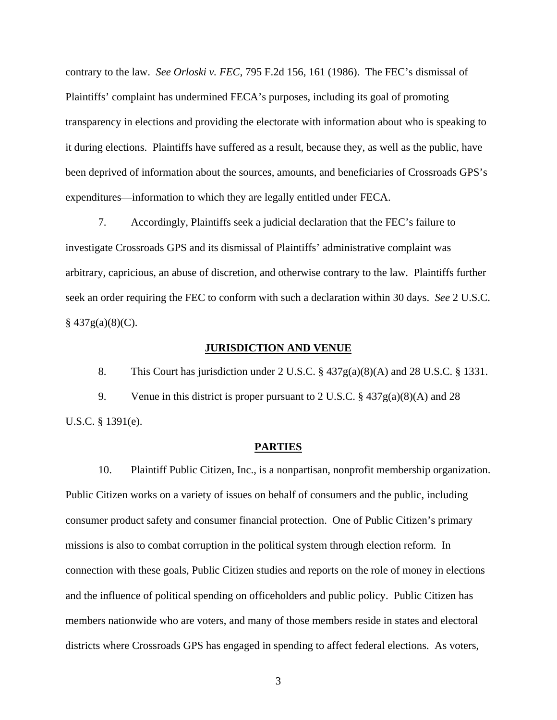contrary to the law. *See Orloski v. FEC*, 795 F.2d 156, 161 (1986). The FEC's dismissal of Plaintiffs' complaint has undermined FECA's purposes, including its goal of promoting transparency in elections and providing the electorate with information about who is speaking to it during elections. Plaintiffs have suffered as a result, because they, as well as the public, have been deprived of information about the sources, amounts, and beneficiaries of Crossroads GPS's expenditures—information to which they are legally entitled under FECA.

7. Accordingly, Plaintiffs seek a judicial declaration that the FEC's failure to investigate Crossroads GPS and its dismissal of Plaintiffs' administrative complaint was arbitrary, capricious, an abuse of discretion, and otherwise contrary to the law. Plaintiffs further seek an order requiring the FEC to conform with such a declaration within 30 days. *See* 2 U.S.C.  $§$  437g(a)(8)(C).

## **JURISDICTION AND VENUE**

8. This Court has jurisdiction under 2 U.S.C. § 437g(a)(8)(A) and 28 U.S.C. § 1331.

9. Venue in this district is proper pursuant to 2 U.S.C. § 437g(a)(8)(A) and 28 U.S.C. § 1391(e).

## **PARTIES**

10. Plaintiff Public Citizen, Inc., is a nonpartisan, nonprofit membership organization. Public Citizen works on a variety of issues on behalf of consumers and the public, including consumer product safety and consumer financial protection. One of Public Citizen's primary missions is also to combat corruption in the political system through election reform. In connection with these goals, Public Citizen studies and reports on the role of money in elections and the influence of political spending on officeholders and public policy. Public Citizen has members nationwide who are voters, and many of those members reside in states and electoral districts where Crossroads GPS has engaged in spending to affect federal elections. As voters,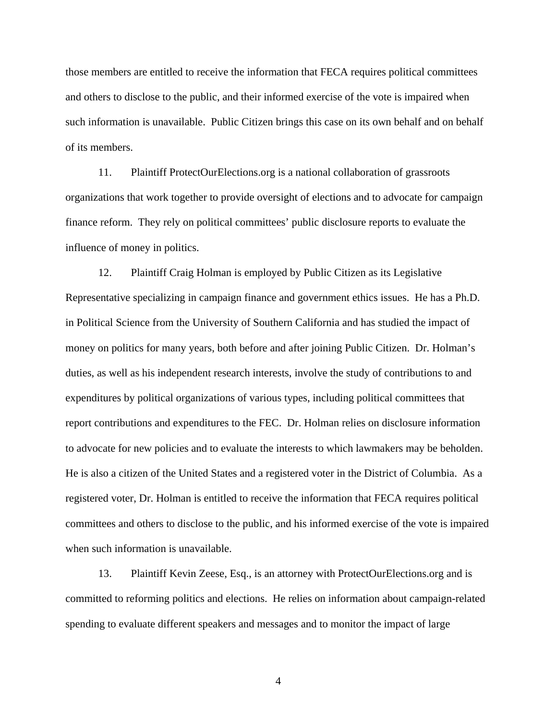those members are entitled to receive the information that FECA requires political committees and others to disclose to the public, and their informed exercise of the vote is impaired when such information is unavailable. Public Citizen brings this case on its own behalf and on behalf of its members.

11. Plaintiff ProtectOurElections.org is a national collaboration of grassroots organizations that work together to provide oversight of elections and to advocate for campaign finance reform. They rely on political committees' public disclosure reports to evaluate the influence of money in politics.

12. Plaintiff Craig Holman is employed by Public Citizen as its Legislative Representative specializing in campaign finance and government ethics issues. He has a Ph.D. in Political Science from the University of Southern California and has studied the impact of money on politics for many years, both before and after joining Public Citizen. Dr. Holman's duties, as well as his independent research interests, involve the study of contributions to and expenditures by political organizations of various types, including political committees that report contributions and expenditures to the FEC. Dr. Holman relies on disclosure information to advocate for new policies and to evaluate the interests to which lawmakers may be beholden. He is also a citizen of the United States and a registered voter in the District of Columbia. As a registered voter, Dr. Holman is entitled to receive the information that FECA requires political committees and others to disclose to the public, and his informed exercise of the vote is impaired when such information is unavailable.

13. Plaintiff Kevin Zeese, Esq., is an attorney with ProtectOurElections.org and is committed to reforming politics and elections. He relies on information about campaign-related spending to evaluate different speakers and messages and to monitor the impact of large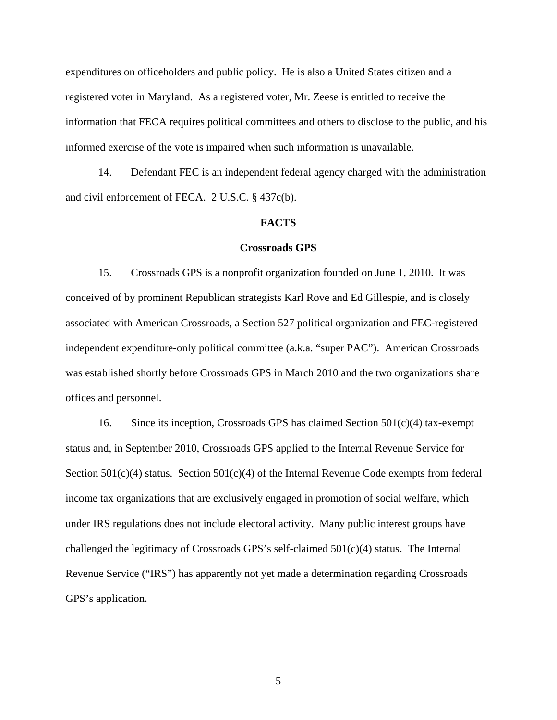expenditures on officeholders and public policy. He is also a United States citizen and a registered voter in Maryland. As a registered voter, Mr. Zeese is entitled to receive the information that FECA requires political committees and others to disclose to the public, and his informed exercise of the vote is impaired when such information is unavailable.

14. Defendant FEC is an independent federal agency charged with the administration and civil enforcement of FECA. 2 U.S.C. § 437c(b).

## **FACTS**

#### **Crossroads GPS**

15. Crossroads GPS is a nonprofit organization founded on June 1, 2010. It was conceived of by prominent Republican strategists Karl Rove and Ed Gillespie, and is closely associated with American Crossroads, a Section 527 political organization and FEC-registered independent expenditure-only political committee (a.k.a. "super PAC"). American Crossroads was established shortly before Crossroads GPS in March 2010 and the two organizations share offices and personnel.

16. Since its inception, Crossroads GPS has claimed Section 501(c)(4) tax-exempt status and, in September 2010, Crossroads GPS applied to the Internal Revenue Service for Section 501(c)(4) status. Section 501(c)(4) of the Internal Revenue Code exempts from federal income tax organizations that are exclusively engaged in promotion of social welfare, which under IRS regulations does not include electoral activity. Many public interest groups have challenged the legitimacy of Crossroads GPS's self-claimed 501(c)(4) status. The Internal Revenue Service ("IRS") has apparently not yet made a determination regarding Crossroads GPS's application.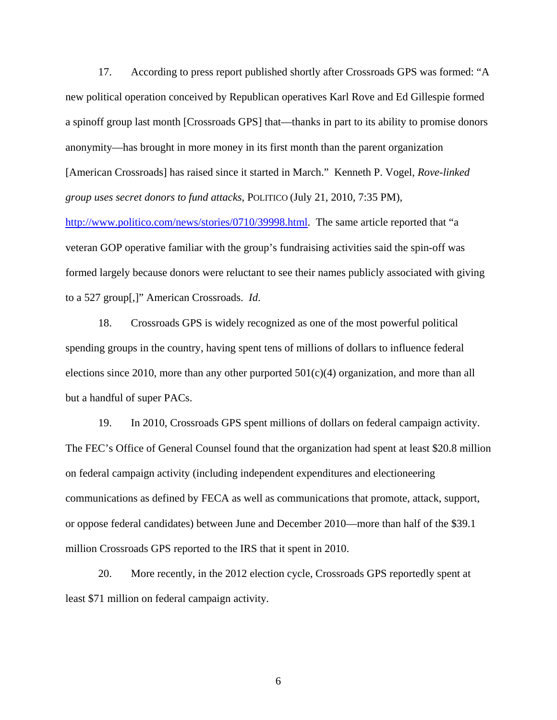17. According to press report published shortly after Crossroads GPS was formed: "A new political operation conceived by Republican operatives Karl Rove and Ed Gillespie formed a spinoff group last month [Crossroads GPS] that—thanks in part to its ability to promise donors anonymity—has brought in more money in its first month than the parent organization [American Crossroads] has raised since it started in March." Kenneth P. Vogel, *Rove-linked group uses secret donors to fund attacks*, POLITICO (July 21, 2010, 7:35 PM),

http://www.politico.com/news/stories/0710/39998.html. The same article reported that "a veteran GOP operative familiar with the group's fundraising activities said the spin-off was formed largely because donors were reluctant to see their names publicly associated with giving to a 527 group[,]" American Crossroads. *Id*.

18. Crossroads GPS is widely recognized as one of the most powerful political spending groups in the country, having spent tens of millions of dollars to influence federal elections since 2010, more than any other purported  $501(c)(4)$  organization, and more than all but a handful of super PACs.

19. In 2010, Crossroads GPS spent millions of dollars on federal campaign activity. The FEC's Office of General Counsel found that the organization had spent at least \$20.8 million on federal campaign activity (including independent expenditures and electioneering communications as defined by FECA as well as communications that promote, attack, support, or oppose federal candidates) between June and December 2010—more than half of the \$39.1 million Crossroads GPS reported to the IRS that it spent in 2010.

20. More recently, in the 2012 election cycle, Crossroads GPS reportedly spent at least \$71 million on federal campaign activity.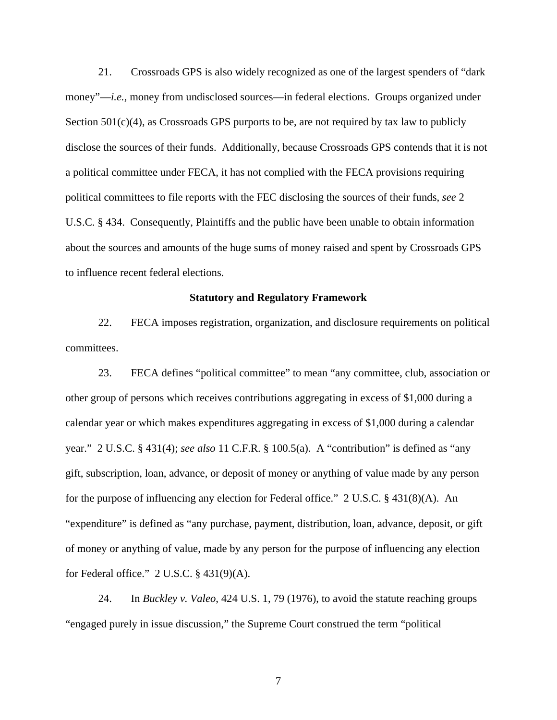21. Crossroads GPS is also widely recognized as one of the largest spenders of "dark money"—*i.e.*, money from undisclosed sources—in federal elections. Groups organized under Section  $501(c)(4)$ , as Crossroads GPS purports to be, are not required by tax law to publicly disclose the sources of their funds. Additionally, because Crossroads GPS contends that it is not a political committee under FECA, it has not complied with the FECA provisions requiring political committees to file reports with the FEC disclosing the sources of their funds, *see* 2 U.S.C. § 434. Consequently, Plaintiffs and the public have been unable to obtain information about the sources and amounts of the huge sums of money raised and spent by Crossroads GPS to influence recent federal elections.

## **Statutory and Regulatory Framework**

22. FECA imposes registration, organization, and disclosure requirements on political committees.

23. FECA defines "political committee" to mean "any committee, club, association or other group of persons which receives contributions aggregating in excess of \$1,000 during a calendar year or which makes expenditures aggregating in excess of \$1,000 during a calendar year." 2 U.S.C. § 431(4); *see also* 11 C.F.R. § 100.5(a). A "contribution" is defined as "any gift, subscription, loan, advance, or deposit of money or anything of value made by any person for the purpose of influencing any election for Federal office." 2 U.S.C. § 431(8)(A). An "expenditure" is defined as "any purchase, payment, distribution, loan, advance, deposit, or gift of money or anything of value, made by any person for the purpose of influencing any election for Federal office."  $2$  U.S.C.  $\S$  431(9)(A).

24. In *Buckley v. Valeo*, 424 U.S. 1, 79 (1976), to avoid the statute reaching groups "engaged purely in issue discussion," the Supreme Court construed the term "political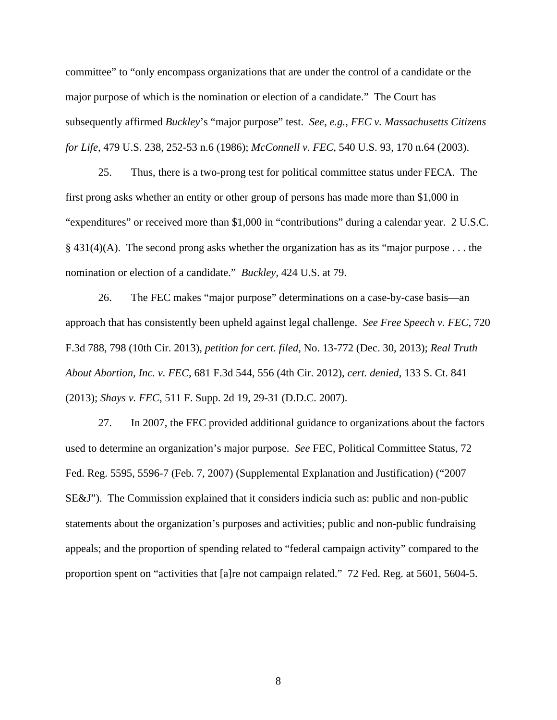committee" to "only encompass organizations that are under the control of a candidate or the major purpose of which is the nomination or election of a candidate." The Court has subsequently affirmed *Buckley*'s "major purpose" test. *See*, *e.g.*, *FEC v. Massachusetts Citizens for Life*, 479 U.S. 238, 252-53 n.6 (1986); *McConnell v. FEC*, 540 U.S. 93, 170 n.64 (2003).

25. Thus, there is a two-prong test for political committee status under FECA. The first prong asks whether an entity or other group of persons has made more than \$1,000 in "expenditures" or received more than \$1,000 in "contributions" during a calendar year. 2 U.S.C.  $§$  431(4)(A). The second prong asks whether the organization has as its "major purpose ... the nomination or election of a candidate." *Buckley*, 424 U.S. at 79.

26. The FEC makes "major purpose" determinations on a case-by-case basis—an approach that has consistently been upheld against legal challenge. *See Free Speech v. FEC*, 720 F.3d 788, 798 (10th Cir. 2013), *petition for cert. filed*, No. 13-772 (Dec. 30, 2013); *Real Truth About Abortion, Inc. v. FEC*, 681 F.3d 544, 556 (4th Cir. 2012), *cert. denied*, 133 S. Ct. 841 (2013); *Shays v. FEC*, 511 F. Supp. 2d 19, 29-31 (D.D.C. 2007).

27. In 2007, the FEC provided additional guidance to organizations about the factors used to determine an organization's major purpose. *See* FEC, Political Committee Status, 72 Fed. Reg. 5595, 5596-7 (Feb. 7, 2007) (Supplemental Explanation and Justification) ("2007 SE&J"). The Commission explained that it considers indicia such as: public and non-public statements about the organization's purposes and activities; public and non-public fundraising appeals; and the proportion of spending related to "federal campaign activity" compared to the proportion spent on "activities that [a]re not campaign related." 72 Fed. Reg. at 5601, 5604-5.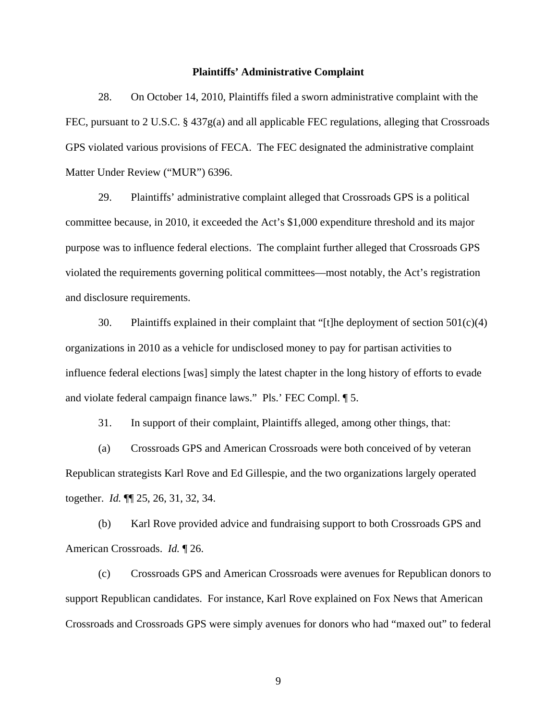### **Plaintiffs' Administrative Complaint**

28. On October 14, 2010, Plaintiffs filed a sworn administrative complaint with the FEC, pursuant to 2 U.S.C. § 437g(a) and all applicable FEC regulations, alleging that Crossroads GPS violated various provisions of FECA. The FEC designated the administrative complaint Matter Under Review ("MUR") 6396.

29. Plaintiffs' administrative complaint alleged that Crossroads GPS is a political committee because, in 2010, it exceeded the Act's \$1,000 expenditure threshold and its major purpose was to influence federal elections. The complaint further alleged that Crossroads GPS violated the requirements governing political committees—most notably, the Act's registration and disclosure requirements.

30. Plaintiffs explained in their complaint that "[t]he deployment of section  $501(c)(4)$ organizations in 2010 as a vehicle for undisclosed money to pay for partisan activities to influence federal elections [was] simply the latest chapter in the long history of efforts to evade and violate federal campaign finance laws." Pls.' FEC Compl. ¶ 5.

31. In support of their complaint, Plaintiffs alleged, among other things, that:

(a) Crossroads GPS and American Crossroads were both conceived of by veteran Republican strategists Karl Rove and Ed Gillespie, and the two organizations largely operated together. *Id.* ¶¶ 25, 26, 31, 32, 34.

(b) Karl Rove provided advice and fundraising support to both Crossroads GPS and American Crossroads. *Id.* ¶ 26.

(c) Crossroads GPS and American Crossroads were avenues for Republican donors to support Republican candidates. For instance, Karl Rove explained on Fox News that American Crossroads and Crossroads GPS were simply avenues for donors who had "maxed out" to federal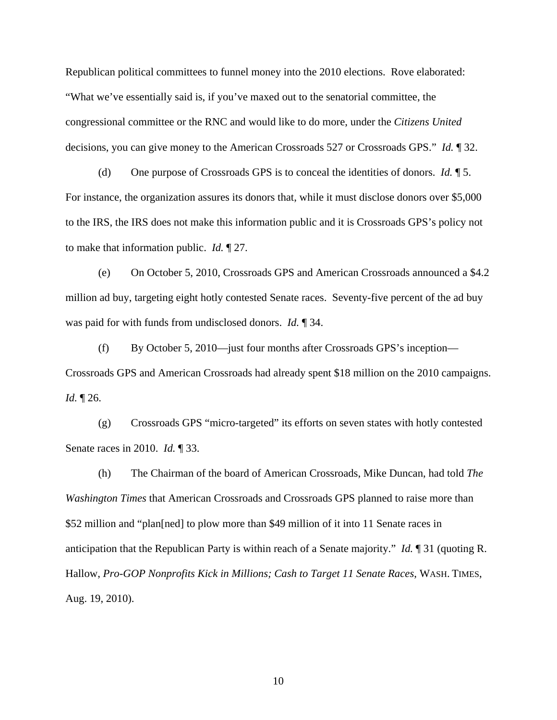Republican political committees to funnel money into the 2010 elections. Rove elaborated: "What we've essentially said is, if you've maxed out to the senatorial committee, the congressional committee or the RNC and would like to do more, under the *Citizens United* decisions, you can give money to the American Crossroads 527 or Crossroads GPS." *Id.* ¶ 32.

(d) One purpose of Crossroads GPS is to conceal the identities of donors. *Id.* ¶ 5. For instance, the organization assures its donors that, while it must disclose donors over \$5,000 to the IRS, the IRS does not make this information public and it is Crossroads GPS's policy not to make that information public. *Id.* ¶ 27.

(e) On October 5, 2010, Crossroads GPS and American Crossroads announced a \$4.2 million ad buy, targeting eight hotly contested Senate races. Seventy-five percent of the ad buy was paid for with funds from undisclosed donors. *Id.* ¶ 34.

(f) By October 5, 2010—just four months after Crossroads GPS's inception— Crossroads GPS and American Crossroads had already spent \$18 million on the 2010 campaigns. *Id.* ¶ 26.

(g) Crossroads GPS "micro-targeted" its efforts on seven states with hotly contested Senate races in 2010. *Id.* ¶ 33.

(h) The Chairman of the board of American Crossroads, Mike Duncan, had told *The Washington Times* that American Crossroads and Crossroads GPS planned to raise more than \$52 million and "plan[ned] to plow more than \$49 million of it into 11 Senate races in anticipation that the Republican Party is within reach of a Senate majority." *Id.* ¶ 31 (quoting R. Hallow, *Pro-GOP Nonprofits Kick in Millions; Cash to Target 11 Senate Races*, WASH. TIMES, Aug. 19, 2010).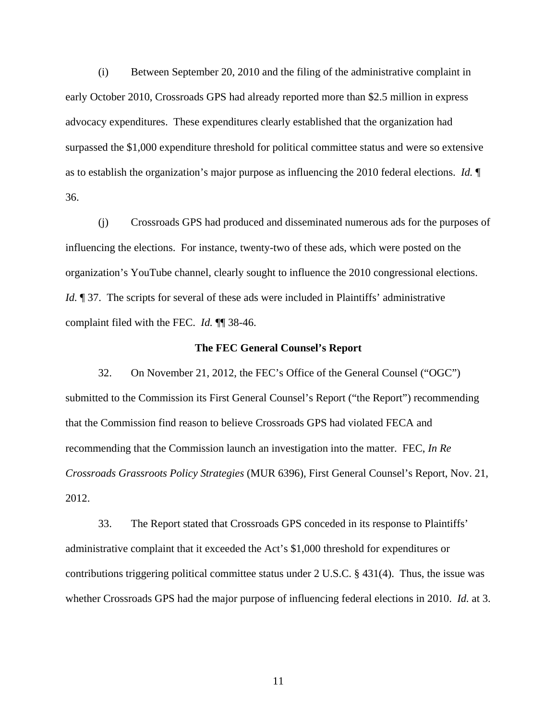(i) Between September 20, 2010 and the filing of the administrative complaint in early October 2010, Crossroads GPS had already reported more than \$2.5 million in express advocacy expenditures. These expenditures clearly established that the organization had surpassed the \$1,000 expenditure threshold for political committee status and were so extensive as to establish the organization's major purpose as influencing the 2010 federal elections. *Id.* ¶ 36.

(j) Crossroads GPS had produced and disseminated numerous ads for the purposes of influencing the elections. For instance, twenty-two of these ads, which were posted on the organization's YouTube channel, clearly sought to influence the 2010 congressional elections. *Id.*  $\parallel$  37. The scripts for several of these ads were included in Plaintiffs' administrative complaint filed with the FEC. *Id.* ¶¶ 38-46.

## **The FEC General Counsel's Report**

32. On November 21, 2012, the FEC's Office of the General Counsel ("OGC") submitted to the Commission its First General Counsel's Report ("the Report") recommending that the Commission find reason to believe Crossroads GPS had violated FECA and recommending that the Commission launch an investigation into the matter. FEC, *In Re Crossroads Grassroots Policy Strategies* (MUR 6396), First General Counsel's Report, Nov. 21, 2012.

33. The Report stated that Crossroads GPS conceded in its response to Plaintiffs' administrative complaint that it exceeded the Act's \$1,000 threshold for expenditures or contributions triggering political committee status under 2 U.S.C. § 431(4). Thus, the issue was whether Crossroads GPS had the major purpose of influencing federal elections in 2010. *Id.* at 3.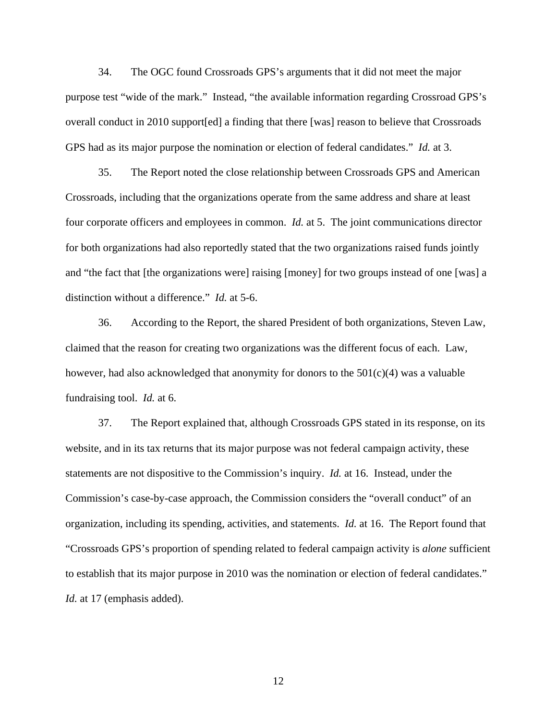34. The OGC found Crossroads GPS's arguments that it did not meet the major purpose test "wide of the mark." Instead, "the available information regarding Crossroad GPS's overall conduct in 2010 support[ed] a finding that there [was] reason to believe that Crossroads GPS had as its major purpose the nomination or election of federal candidates." *Id.* at 3.

35. The Report noted the close relationship between Crossroads GPS and American Crossroads, including that the organizations operate from the same address and share at least four corporate officers and employees in common. *Id.* at 5. The joint communications director for both organizations had also reportedly stated that the two organizations raised funds jointly and "the fact that [the organizations were] raising [money] for two groups instead of one [was] a distinction without a difference." *Id.* at 5-6.

36. According to the Report, the shared President of both organizations, Steven Law, claimed that the reason for creating two organizations was the different focus of each. Law, however, had also acknowledged that anonymity for donors to the 501(c)(4) was a valuable fundraising tool. *Id.* at 6.

37. The Report explained that, although Crossroads GPS stated in its response, on its website, and in its tax returns that its major purpose was not federal campaign activity, these statements are not dispositive to the Commission's inquiry. *Id.* at 16. Instead, under the Commission's case-by-case approach, the Commission considers the "overall conduct" of an organization, including its spending, activities, and statements. *Id.* at 16. The Report found that "Crossroads GPS's proportion of spending related to federal campaign activity is *alone* sufficient to establish that its major purpose in 2010 was the nomination or election of federal candidates." *Id.* at 17 (emphasis added).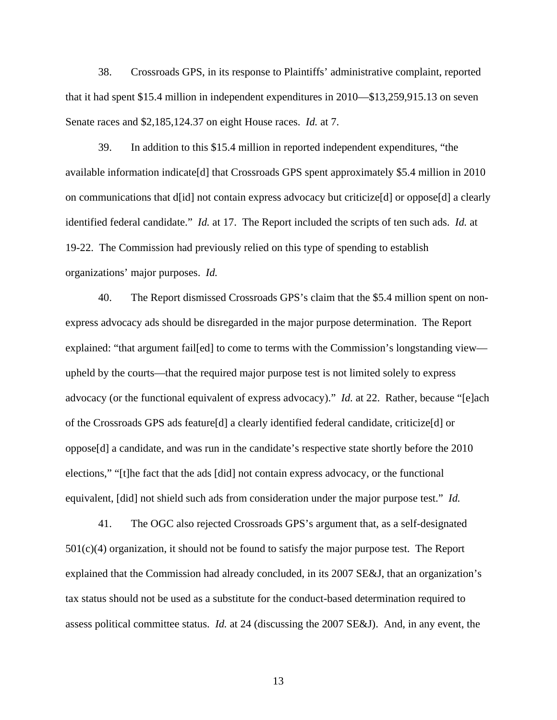38. Crossroads GPS, in its response to Plaintiffs' administrative complaint, reported that it had spent \$15.4 million in independent expenditures in 2010—\$13,259,915.13 on seven Senate races and \$2,185,124.37 on eight House races. *Id.* at 7.

39. In addition to this \$15.4 million in reported independent expenditures, "the available information indicate[d] that Crossroads GPS spent approximately \$5.4 million in 2010 on communications that d[id] not contain express advocacy but criticize[d] or oppose[d] a clearly identified federal candidate." *Id.* at 17. The Report included the scripts of ten such ads. *Id.* at 19-22. The Commission had previously relied on this type of spending to establish organizations' major purposes. *Id.*

40. The Report dismissed Crossroads GPS's claim that the \$5.4 million spent on nonexpress advocacy ads should be disregarded in the major purpose determination. The Report explained: "that argument fail[ed] to come to terms with the Commission's longstanding view upheld by the courts—that the required major purpose test is not limited solely to express advocacy (or the functional equivalent of express advocacy)." *Id.* at 22. Rather, because "[e]ach of the Crossroads GPS ads feature[d] a clearly identified federal candidate, criticize[d] or oppose[d] a candidate, and was run in the candidate's respective state shortly before the 2010 elections," "[t]he fact that the ads [did] not contain express advocacy, or the functional equivalent, [did] not shield such ads from consideration under the major purpose test." *Id.*

41. The OGC also rejected Crossroads GPS's argument that, as a self-designated 501(c)(4) organization, it should not be found to satisfy the major purpose test. The Report explained that the Commission had already concluded, in its 2007 SE&J, that an organization's tax status should not be used as a substitute for the conduct-based determination required to assess political committee status. *Id.* at 24 (discussing the 2007 SE&J). And, in any event, the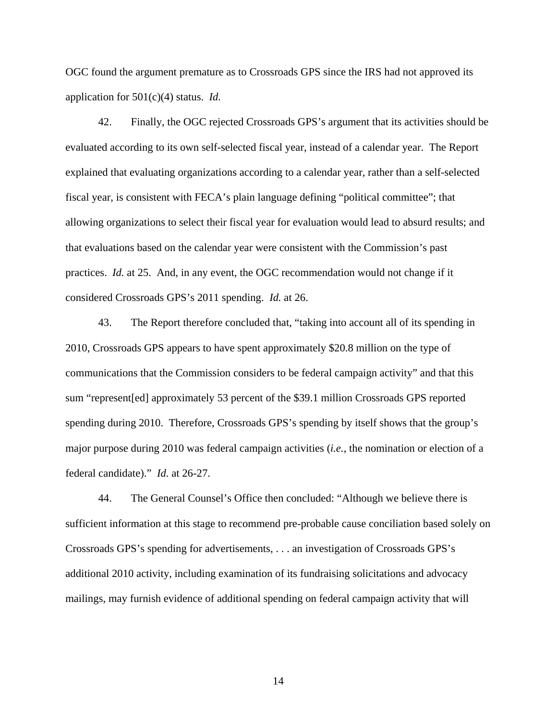OGC found the argument premature as to Crossroads GPS since the IRS had not approved its application for 501(c)(4) status. *Id.*

42. Finally, the OGC rejected Crossroads GPS's argument that its activities should be evaluated according to its own self-selected fiscal year, instead of a calendar year. The Report explained that evaluating organizations according to a calendar year, rather than a self-selected fiscal year, is consistent with FECA's plain language defining "political committee"; that allowing organizations to select their fiscal year for evaluation would lead to absurd results; and that evaluations based on the calendar year were consistent with the Commission's past practices. *Id.* at 25. And, in any event, the OGC recommendation would not change if it considered Crossroads GPS's 2011 spending. *Id.* at 26.

43. The Report therefore concluded that, "taking into account all of its spending in 2010, Crossroads GPS appears to have spent approximately \$20.8 million on the type of communications that the Commission considers to be federal campaign activity" and that this sum "represent[ed] approximately 53 percent of the \$39.1 million Crossroads GPS reported spending during 2010. Therefore, Crossroads GPS's spending by itself shows that the group's major purpose during 2010 was federal campaign activities (*i.e.*, the nomination or election of a federal candidate)." *Id.* at 26-27.

44. The General Counsel's Office then concluded: "Although we believe there is sufficient information at this stage to recommend pre-probable cause conciliation based solely on Crossroads GPS's spending for advertisements, . . . an investigation of Crossroads GPS's additional 2010 activity, including examination of its fundraising solicitations and advocacy mailings, may furnish evidence of additional spending on federal campaign activity that will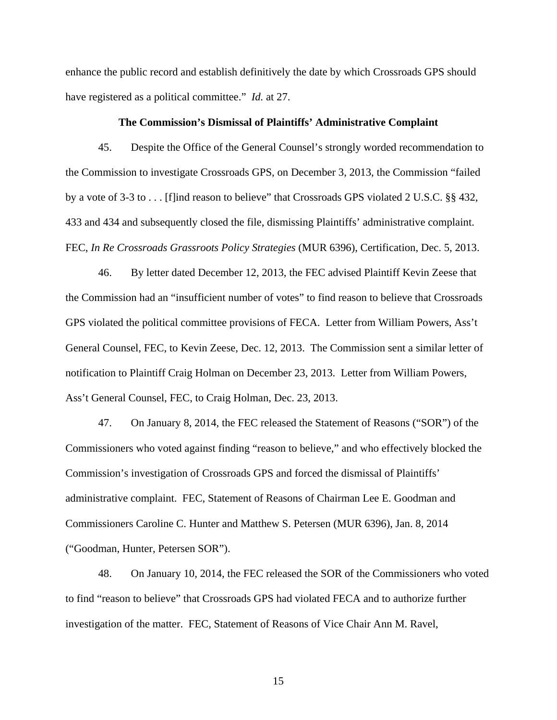enhance the public record and establish definitively the date by which Crossroads GPS should have registered as a political committee." *Id.* at 27.

## **The Commission's Dismissal of Plaintiffs' Administrative Complaint**

45. Despite the Office of the General Counsel's strongly worded recommendation to the Commission to investigate Crossroads GPS, on December 3, 2013, the Commission "failed by a vote of 3-3 to . . . [f]ind reason to believe" that Crossroads GPS violated 2 U.S.C. §§ 432, 433 and 434 and subsequently closed the file, dismissing Plaintiffs' administrative complaint. FEC, *In Re Crossroads Grassroots Policy Strategies* (MUR 6396), Certification, Dec. 5, 2013.

46. By letter dated December 12, 2013, the FEC advised Plaintiff Kevin Zeese that the Commission had an "insufficient number of votes" to find reason to believe that Crossroads GPS violated the political committee provisions of FECA. Letter from William Powers, Ass't General Counsel, FEC, to Kevin Zeese, Dec. 12, 2013. The Commission sent a similar letter of notification to Plaintiff Craig Holman on December 23, 2013. Letter from William Powers, Ass't General Counsel, FEC, to Craig Holman, Dec. 23, 2013.

47. On January 8, 2014, the FEC released the Statement of Reasons ("SOR") of the Commissioners who voted against finding "reason to believe," and who effectively blocked the Commission's investigation of Crossroads GPS and forced the dismissal of Plaintiffs' administrative complaint. FEC, Statement of Reasons of Chairman Lee E. Goodman and Commissioners Caroline C. Hunter and Matthew S. Petersen (MUR 6396), Jan. 8, 2014 ("Goodman, Hunter, Petersen SOR").

48. On January 10, 2014, the FEC released the SOR of the Commissioners who voted to find "reason to believe" that Crossroads GPS had violated FECA and to authorize further investigation of the matter. FEC, Statement of Reasons of Vice Chair Ann M. Ravel,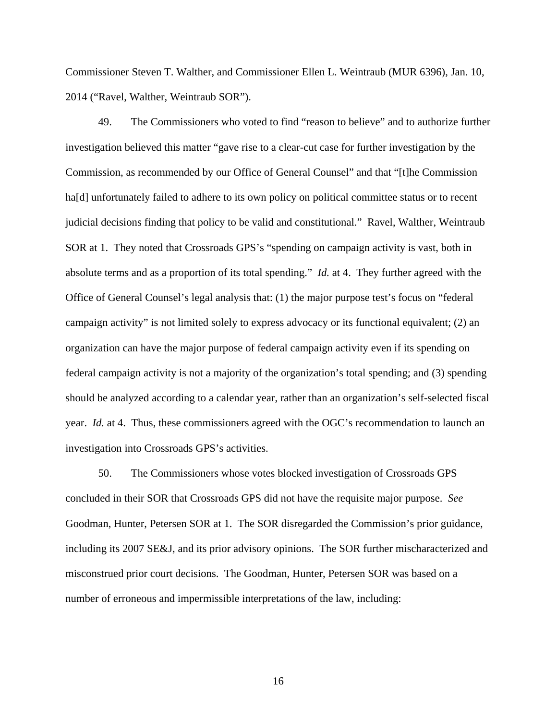Commissioner Steven T. Walther, and Commissioner Ellen L. Weintraub (MUR 6396), Jan. 10, 2014 ("Ravel, Walther, Weintraub SOR").

49. The Commissioners who voted to find "reason to believe" and to authorize further investigation believed this matter "gave rise to a clear-cut case for further investigation by the Commission, as recommended by our Office of General Counsel" and that "[t]he Commission ha<sup>[d]</sup> unfortunately failed to adhere to its own policy on political committee status or to recent judicial decisions finding that policy to be valid and constitutional." Ravel, Walther, Weintraub SOR at 1. They noted that Crossroads GPS's "spending on campaign activity is vast, both in absolute terms and as a proportion of its total spending." *Id.* at 4. They further agreed with the Office of General Counsel's legal analysis that: (1) the major purpose test's focus on "federal campaign activity" is not limited solely to express advocacy or its functional equivalent; (2) an organization can have the major purpose of federal campaign activity even if its spending on federal campaign activity is not a majority of the organization's total spending; and (3) spending should be analyzed according to a calendar year, rather than an organization's self-selected fiscal year. *Id.* at 4. Thus, these commissioners agreed with the OGC's recommendation to launch an investigation into Crossroads GPS's activities.

50. The Commissioners whose votes blocked investigation of Crossroads GPS concluded in their SOR that Crossroads GPS did not have the requisite major purpose. *See*  Goodman, Hunter, Petersen SOR at 1. The SOR disregarded the Commission's prior guidance, including its 2007 SE&J, and its prior advisory opinions. The SOR further mischaracterized and misconstrued prior court decisions. The Goodman, Hunter, Petersen SOR was based on a number of erroneous and impermissible interpretations of the law, including: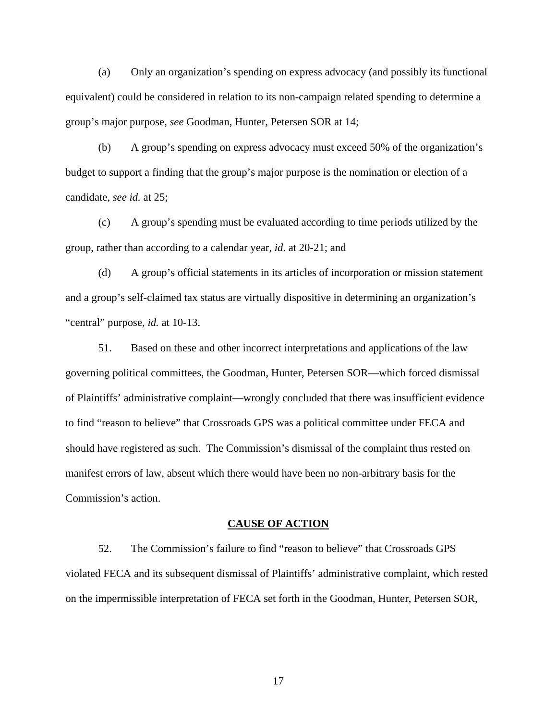(a) Only an organization's spending on express advocacy (and possibly its functional equivalent) could be considered in relation to its non-campaign related spending to determine a group's major purpose, *see* Goodman, Hunter, Petersen SOR at 14;

(b) A group's spending on express advocacy must exceed 50% of the organization's budget to support a finding that the group's major purpose is the nomination or election of a candidate, *see id.* at 25;

(c) A group's spending must be evaluated according to time periods utilized by the group, rather than according to a calendar year, *id*. at 20-21; and

(d) A group's official statements in its articles of incorporation or mission statement and a group's self-claimed tax status are virtually dispositive in determining an organization's "central" purpose, *id.* at 10-13.

51. Based on these and other incorrect interpretations and applications of the law governing political committees, the Goodman, Hunter, Petersen SOR—which forced dismissal of Plaintiffs' administrative complaint—wrongly concluded that there was insufficient evidence to find "reason to believe" that Crossroads GPS was a political committee under FECA and should have registered as such. The Commission's dismissal of the complaint thus rested on manifest errors of law, absent which there would have been no non-arbitrary basis for the Commission's action.

#### **CAUSE OF ACTION**

52. The Commission's failure to find "reason to believe" that Crossroads GPS violated FECA and its subsequent dismissal of Plaintiffs' administrative complaint, which rested on the impermissible interpretation of FECA set forth in the Goodman, Hunter, Petersen SOR,